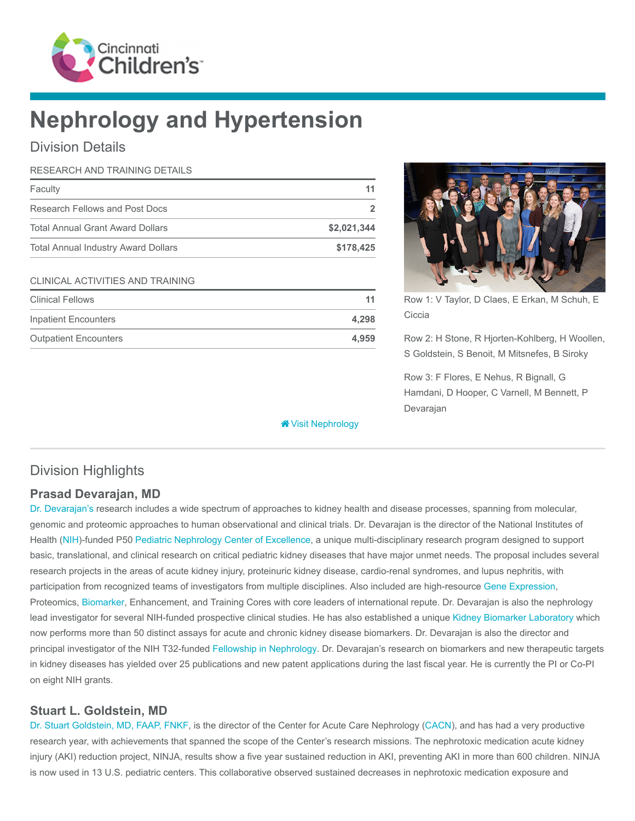

# Nephrology and Hypertension

### Division Details

| RESEARCH AND TRAINING DETAILS              |                |
|--------------------------------------------|----------------|
| Faculty                                    | 11             |
| Research Fellows and Post Docs             | $\overline{2}$ |
| <b>Total Annual Grant Award Dollars</b>    | \$2,021,344    |
| <b>Total Annual Industry Award Dollars</b> | \$178,425      |
| <b>CLINICAL ACTIVITIES AND TRAINING</b>    |                |
| <b>Clinical Fellows</b>                    | 11             |
| <b>Inpatient Encounters</b>                | 4,298          |
| <b>Outpatient Encounters</b>               | 4.959          |

**<sup>\*</sup>** [Visit Nephrology](https://www.cincinnatichildrens.org/research/divisions/n/nephrology)



Row 1: V Taylor, D Claes, E Erkan, M Schuh, E **Ciccia** 

Row 2: H Stone, R Hjorten-Kohlberg, H Woollen, S Goldstein, S Benoit, M Mitsnefes, B Siroky

Row 3: F Flores, E Nehus, R Bignall, G Hamdani, D Hooper, C Varnell, M Bennett, P Devarajan

## Division Highlights

### Prasad Devarajan, MD

[Dr. Devarajan's](https://www.cincinnatichildrens.org/bio/d/prasad-devarajan) research includes a wide spectrum of approaches to kidney health and disease processes, spanning from molecular, genomic and proteomic approaches to human observational and clinical trials. Dr. Devarajan is the director of the National Institutes of Health [\(NIH](https://www.nih.gov/))-funded P50 [Pediatric Nephrology Center of Excellence,](https://www.cincinnatichildrens.org/research/divisions/n/nephrology/center-of-excellence) a unique multi-disciplinary research program designed to support basic, translational, and clinical research on critical pediatric kidney diseases that have major unmet needs. The proposal includes several research projects in the areas of acute kidney injury, proteinuric kidney disease, cardio-renal syndromes, and lupus nephritis, with participation from recognized teams of investigators from multiple disciplines. Also included are high-resource [Gene Expression,](https://www.cincinnatichildrens.org/research/cores/gene-expression) Proteomics, [Biomarker](https://www.cincinnatichildrens.org/research/divisions/n/nephrology/biomarker-lab), Enhancement, and Training Cores with core leaders of international repute. Dr. Devarajan is also the nephrology lead investigator for several NIH-funded prospective clinical studies. He has also established a unique [Kidney Biomarker Laboratory](https://www.cincinnatichildrens.org/research/divisions/n/nephrology/biomarker-lab) which now performs more than 50 distinct assays for acute and chronic kidney disease biomarkers. Dr. Devarajan is also the director and principal investigator of the NIH T32-funded [Fellowship in Nephrology.](https://www.cincinnatichildrens.org/education/clinical/fellowship/nephrology) Dr. Devarajan's research on biomarkers and new therapeutic targets in kidney diseases has yielded over 25 publications and new patent applications during the last fiscal year. He is currently the PI or Co-PI on eight NIH grants.

### Stuart L. Goldstein, MD

[Dr. Stuart Goldstein, MD, FAAP, FNKF,](https://www.cincinnatichildrens.org/bio/g/stuart-goldstein) is the director of the Center for Acute Care Nephrology ([CACN\)](https://www.cincinnatichildrens.org/service/c/cacn), and has had a very productive research year, with achievements that spanned the scope of the Center's research missions. The nephrotoxic medication acute kidney injury (AKI) reduction project, NINJA, results show a five year sustained reduction in AKI, preventing AKI in more than 600 children. NINJA is now used in 13 U.S. pediatric centers. This collaborative observed sustained decreases in nephrotoxic medication exposure and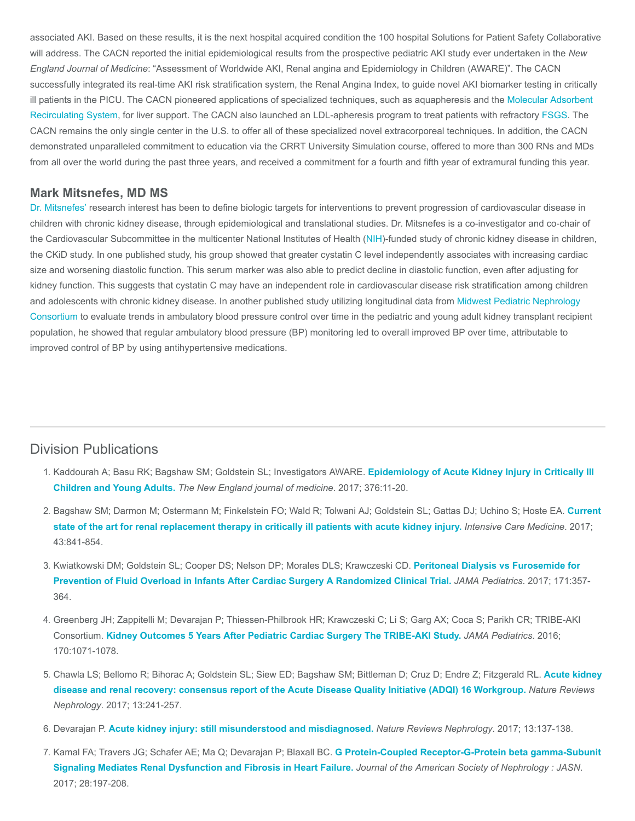associated AKI. Based on these results, it is the next hospital acquired condition the 100 hospital Solutions for Patient Safety Collaborative will address. The CACN reported the initial epidemiological results from the prospective pediatric AKI study ever undertaken in the New England Journal of Medicine: "Assessment of Worldwide AKI, Renal angina and Epidemiology in Children (AWARE)". The CACN successfully integrated its real-time AKI risk stratification system, the Renal Angina Index, to guide novel AKI biomarker testing in critically [ill patients in the PICU. The CACN pioneered applications of specialized techniques, such as aquapheresis and the Molecular Adsorbent](https://www.cincinnatichildrens.org/health/m/mars-therapy-liver-dialysis) Recirculating System, for liver support. The CACN also launched an LDL-apheresis program to treat patients with refractory [FSGS](https://www.cincinnatichildrens.org/service/k/kidney-transplant/professionals/fsgs-research). The CACN remains the only single center in the U.S. to offer all of these specialized novel extracorporeal techniques. In addition, the CACN demonstrated unparalleled commitment to education via the CRRT University Simulation course, offered to more than 300 RNs and MDs from all over the world during the past three years, and received a commitment for a fourth and fifth year of extramural funding this year.

#### Mark Mitsnefes, MD MS

[Dr. Mitsnefes'](https://www.cincinnatichildrens.org/bio/m/mark-mitsnefes) research interest has been to define biologic targets for interventions to prevent progression of cardiovascular disease in children with chronic kidney disease, through epidemiological and translational studies. Dr. Mitsnefes is a co-investigator and co-chair of the Cardiovascular Subcommittee in the multicenter National Institutes of Health ([NIH\)](https://www.nih.gov/)-funded study of chronic kidney disease in children, the CKiD study. In one published study, his group showed that greater cystatin C level independently associates with increasing cardiac size and worsening diastolic function. This serum marker was also able to predict decline in diastolic function, even after adjusting for kidney function. This suggests that cystatin C may have an independent role in cardiovascular disease risk stratification among children and adolescents with chronic kidney disease. In another published study utilizing longitudinal data from Midwest Pediatric Nephrology [Consortium to evaluate trends in ambulatory blood pressure control over time in the pediatric and young adult kidney transplant recipie](http://mwpnc.com/)nt population, he showed that regular ambulatory blood pressure (BP) monitoring led to overall improved BP over time, attributable to improved control of BP by using antihypertensive medications.

#### Division Publications

- 1. [Kaddourah A; Basu RK; Bagshaw SM; Goldstein SL; Investigators AWARE.](https://www.ncbi.nlm.nih.gov/pubmed/27959707) Epidemiology of Acute Kidney Injury in Critically III Children and Young Adults. The New England journal of medicine. 2017; 376:11-20.
- 2. [Bagshaw SM; Darmon M; Ostermann M; Finkelstein FO; Wald R; Tolwani AJ; Goldstein SL; Gattas DJ; Uchino S; Hoste EA.](https://www.ncbi.nlm.nih.gov/pubmed/28289816) Current state of the art for renal replacement therapy in critically ill patients with acute kidney injury. Intensive Care Medicine. 2017; 43:841-854.
- 3. [Kwiatkowski DM; Goldstein SL; Cooper DS; Nelson DP; Morales DLS; Krawczeski CD.](https://www.ncbi.nlm.nih.gov/pubmed/28241247) Peritoneal Dialysis vs Furosemide for Prevention of Fluid Overload in Infants After Cardiac Surgery A Randomized Clinical Trial. JAMA Pediatrics. 2017; 171:357- 364.
- 4. Greenberg JH; Zappitelli M; Devarajan P; Thiessen-Philbrook HR; Krawczeski C; Li S; Garg AX; Coca S; Parikh CR; TRIBE-AKI Consortium. [Kidney Outcomes 5 Years After Pediatric Cardiac Surgery The TRIBE-AKI Study.](https://www.ncbi.nlm.nih.gov/pubmed/27618162) JAMA Pediatrics. 2016; 170:1071-1078.
- 5. [Chawla LS; Bellomo R; Bihorac A; Goldstein SL; Siew ED; Bagshaw SM; Bittleman D; Cruz D; Endre Z; Fitzgerald RL.](https://www.ncbi.nlm.nih.gov/pubmed/28239173) Acute kidney disease and renal recovery: consensus report of the Acute Disease Quality Initiative (ADQI) 16 Workgroup. Nature Reviews Nephrology. 2017; 13:241-257.
- 6. Devarajan P. [Acute kidney injury: still misunderstood and misdiagnosed.](https://www.ncbi.nlm.nih.gov/pubmed/28163310) Nature Reviews Nephrology. 2017; 13:137-138.
- 7. [Kamal FA; Travers JG; Schafer AE; Ma Q; Devarajan P; Blaxall BC.](https://www.ncbi.nlm.nih.gov/pubmed/27297948) G Protein-Coupled Receptor-G-Protein beta gamma-Subunit Signaling Mediates Renal Dysfunction and Fibrosis in Heart Failure. Journal of the American Society of Nephrology : JASN. 2017; 28:197-208.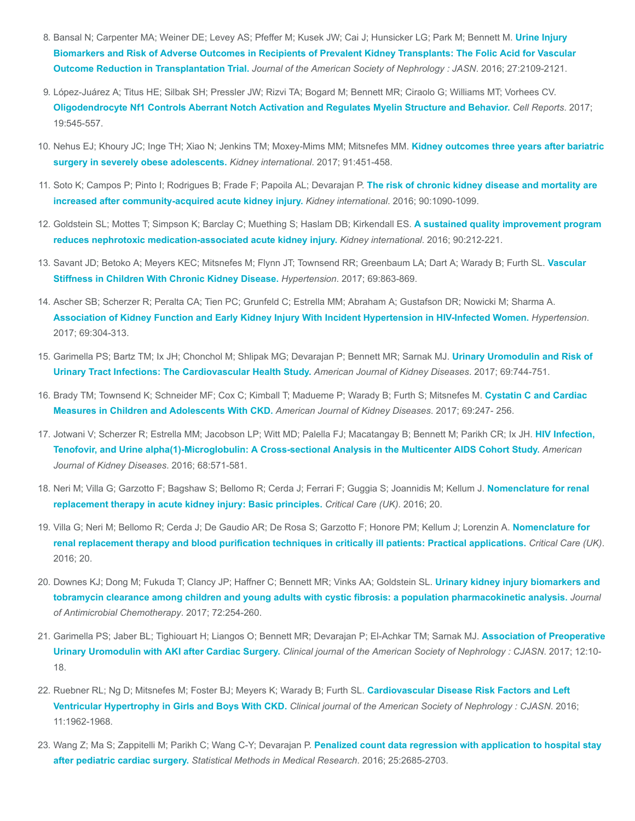- 8. [Bansal N; Carpenter MA; Weiner DE; Levey AS; Pfeffer M; Kusek JW; Cai J; Hunsicker LG; Park M; Bennett M.](https://www.ncbi.nlm.nih.gov/pubmed/26538631) Urine Injury Biomarkers and Risk of Adverse Outcomes in Recipients of Prevalent Kidney Transplants: The Folic Acid for Vascular Outcome Reduction in Transplantation Trial. Journal of the American Society of Nephrology : JASN. 2016; 27:2109-2121.
- 9. López-Juárez A; Titus HE; Silbak SH; Pressler JW; Rizvi TA; Bogard M; Bennett MR; Ciraolo G; Williams MT; Vorhees CV. [Oligodendrocyte Nf1 Controls Aberrant Notch Activation and Regulates Myelin Structure and Behavior.](https://www.ncbi.nlm.nih.gov/pubmed/28423318) Cell Reports. 2017; 19:545-557.
- 10. [Nehus EJ; Khoury JC; Inge TH; Xiao N; Jenkins TM; Moxey-Mims MM; Mitsnefes MM.](https://www.ncbi.nlm.nih.gov/pubmed/27914704) Kidney outcomes three years after bariatric surgery in severely obese adolescents. Kidney international. 2017; 91:451-458.
- 11. [Soto K; Campos P; Pinto I; Rodrigues B; Frade F; Papoila AL; Devarajan P.](https://www.ncbi.nlm.nih.gov/pubmed/27658322) The risk of chronic kidney disease and mortality are increased after community-acquired acute kidney injury. Kidney international. 2016; 90:1090-1099.
- 12. [Goldstein SL; Mottes T; Simpson K; Barclay C; Muething S; Haslam DB; Kirkendall ES.](https://www.ncbi.nlm.nih.gov/pubmed/27217196) A sustained quality improvement program reduces nephrotoxic medication-associated acute kidney injury. Kidney international. 2016; 90:212-221.
- 13. [Savant JD; Betoko A; Meyers KEC; Mitsnefes M; Flynn JT; Townsend RR; Greenbaum LA; Dart A; Warady B; Furth SL.](https://www.ncbi.nlm.nih.gov/pubmed/28373588) Vascular Stiffness in Children With Chronic Kidney Disease. Hypertension. 2017; 69:863-869.
- 14. Ascher SB; Scherzer R; Peralta CA; Tien PC; Grunfeld C; Estrella MM; Abraham A; Gustafson DR; Nowicki M; Sharma A. [Association of Kidney Function and Early Kidney Injury With Incident Hypertension in HIV-Infected Women.](https://www.ncbi.nlm.nih.gov/pubmed/27993956) Hypertension. 2017; 69:304-313.
- 15. [Garimella PS; Bartz TM; Ix JH; Chonchol M; Shlipak MG; Devarajan P; Bennett MR; Sarnak MJ.](https://www.ncbi.nlm.nih.gov/pubmed/28029393) Urinary Uromodulin and Risk of Urinary Tract Infections: The Cardiovascular Health Study. American Journal of Kidney Diseases. 2017; 69:744-751.
- 16. [Brady TM; Townsend K; Schneider MF; Cox C; Kimball T; Madueme P; Warady B; Furth S; Mitsnefes M.](https://www.ncbi.nlm.nih.gov/pubmed/27856090) Cystatin C and Cardiac Measures in Children and Adolescents With CKD. American Journal of Kidney Diseases. 2017; 69:247- 256.
- 17. [Jotwani V; Scherzer R; Estrella MM; Jacobson LP; Witt MD; Palella FJ; Macatangay B; Bennett M; Parikh CR; Ix JH.](https://www.ncbi.nlm.nih.gov/pubmed/27287300) HIV Infection, Tenofovir, and Urine alpha(1)-Microglobulin: A Cross-sectional Analysis in the Multicenter AIDS Cohort Study. American Journal of Kidney Diseases. 2016; 68:571-581.
- 18. [Neri M; Villa G; Garzotto F; Bagshaw S; Bellomo R; Cerda J; Ferrari F; Guggia S; Joannidis M; Kellum J.](https://www.ncbi.nlm.nih.gov/pmc/articles/PMC5056503/) Nomenclature for renal replacement therapy in acute kidney injury: Basic principles. Critical Care (UK). 2016; 20.
- 19. [Villa G; Neri M; Bellomo R; Cerda J; De Gaudio AR; De Rosa S; Garzotto F; Honore PM; Kellum J; Lorenzin A.](https://www.ncbi.nlm.nih.gov/pmc/articles/PMC5056503/) Nomenclature for renal replacement therapy and blood purification techniques in critically ill patients: Practical applications. Critical Care (UK). 2016; 20.
- 20. Downes KJ; Dong M; Fukuda T; Clancy JP; Haffner C; Bennett MR; Vinks AA; Goldstein SL. Urinary kidney injury biomarkers and [tobramycin clearance among children and young adults with cystic fibrosis: a population pharmacokinetic analysis.](https://www.ncbi.nlm.nih.gov/pubmed/27585963) Journal of Antimicrobial Chemotherapy. 2017; 72:254-260.
- 21. [Garimella PS; Jaber BL; Tighiouart H; Liangos O; Bennett MR; Devarajan P; El-Achkar TM; Sarnak MJ.](https://www.ncbi.nlm.nih.gov/pubmed/27797887) Association of Preoperative Urinary Uromodulin with AKI after Cardiac Surgery. Clinical journal of the American Society of Nephrology : CJASN. 2017; 12:10- 18.
- 22. [Ruebner RL; Ng D; Mitsnefes M; Foster BJ; Meyers K; Warady B; Furth SL.](https://www.ncbi.nlm.nih.gov/pubmed/27630183) Cardiovascular Disease Risk Factors and Left Ventricular Hypertrophy in Girls and Boys With CKD. Clinical journal of the American Society of Nephrology : CJASN. 2016; 11:1962-1968.
- 23. [Wang Z; Ma S; Zappitelli M; Parikh C; Wang C-Y; Devarajan P.](https://www.ncbi.nlm.nih.gov/pubmed/24742430) Penalized count data regression with application to hospital stay after pediatric cardiac surgery. Statistical Methods in Medical Research. 2016; 25:2685-2703.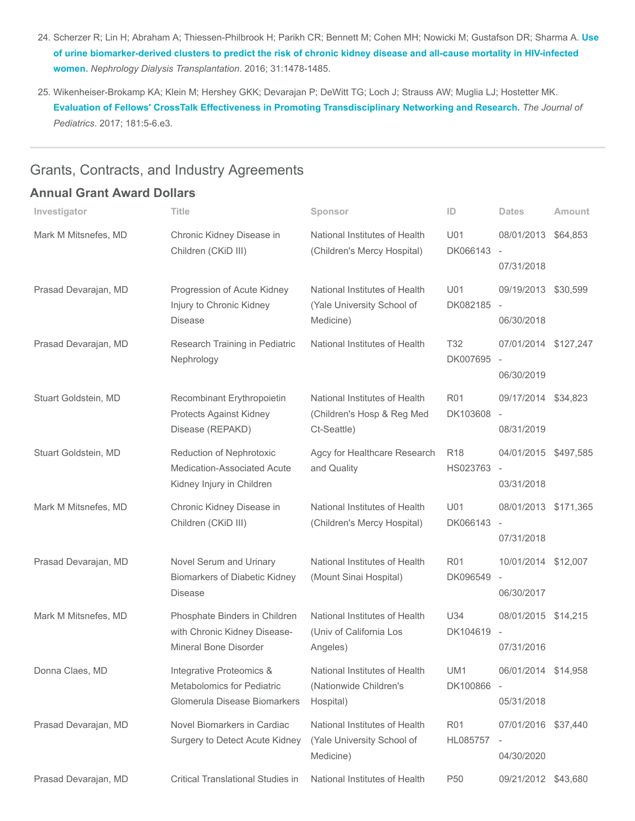- 24. [Scherzer R; Lin H; Abraham A; Thiessen-Philbrook H; Parikh CR; Bennett M; Cohen MH; Nowicki M; Gustafson DR; Sharma A.](https://www.ncbi.nlm.nih.gov/pubmed/26754833) Use of urine biomarker-derived clusters to predict the risk of chronic kidney disease and all-cause mortality in HIV-infected women. Nephrology Dialysis Transplantation. 2016; 31:1478-1485.
- 25. Wikenheiser-Brokamp KA; Klein M; Hershey GKK; Devarajan P; DeWitt TG; Loch J; Strauss AW; Muglia LJ; Hostetter MK. [Evaluation of Fellows' CrossTalk Effectiveness in Promoting Transdisciplinary Networking and Research.](https://www.ncbi.nlm.nih.gov/pubmed/27839701) The Journal of Pediatrics. 2017; 181:5-6.e3.

### Grants, Contracts, and Industry Agreements

### Annual Grant Award Dollars

| Investigator         | <b>Title</b>                                                                           | Sponsor                                                                    | ID                          | <b>Dates</b>                                                   | Amount |
|----------------------|----------------------------------------------------------------------------------------|----------------------------------------------------------------------------|-----------------------------|----------------------------------------------------------------|--------|
| Mark M Mitsnefes, MD | Chronic Kidney Disease in<br>Children (CKiD III)                                       | National Institutes of Health<br>(Children's Mercy Hospital)               | U01<br>DK066143             | 08/01/2013 \$64,853<br>$\overline{\phantom{a}}$                |        |
|                      |                                                                                        |                                                                            |                             | 07/31/2018                                                     |        |
| Prasad Devarajan, MD | Progression of Acute Kidney<br>Injury to Chronic Kidney<br><b>Disease</b>              | National Institutes of Health<br>(Yale University School of<br>Medicine)   | U01<br>DK082185             | 09/19/2013 \$30,599<br>$\overline{\phantom{a}}$<br>06/30/2018  |        |
| Prasad Devarajan, MD | Research Training in Pediatric<br>Nephrology                                           | National Institutes of Health                                              | T <sub>32</sub><br>DK007695 | 07/01/2014 \$127,247<br>$\overline{\phantom{a}}$<br>06/30/2019 |        |
| Stuart Goldstein, MD | Recombinant Erythropoietin<br>Protects Against Kidney<br>Disease (REPAKD)              | National Institutes of Health<br>(Children's Hosp & Reg Med<br>Ct-Seattle) | <b>R01</b><br>DK103608      | 09/17/2014 \$34,823<br>$\overline{\phantom{a}}$<br>08/31/2019  |        |
| Stuart Goldstein, MD | Reduction of Nephrotoxic<br>Medication-Associated Acute<br>Kidney Injury in Children   | Agcy for Healthcare Research<br>and Quality                                | R <sub>18</sub><br>HS023763 | 04/01/2015 \$497,585<br>$\overline{\phantom{a}}$<br>03/31/2018 |        |
| Mark M Mitsnefes, MD | Chronic Kidney Disease in<br>Children (CKiD III)                                       | National Institutes of Health<br>(Children's Mercy Hospital)               | U01<br>DK066143             | 08/01/2013 \$171,365<br>$\overline{\phantom{a}}$<br>07/31/2018 |        |
| Prasad Devarajan, MD | Novel Serum and Urinary<br><b>Biomarkers of Diabetic Kidney</b><br><b>Disease</b>      | National Institutes of Health<br>(Mount Sinai Hospital)                    | <b>R01</b><br>DK096549      | 10/01/2014 \$12,007<br>$\overline{\phantom{a}}$<br>06/30/2017  |        |
| Mark M Mitsnefes, MD | Phosphate Binders in Children<br>with Chronic Kidney Disease-<br>Mineral Bone Disorder | National Institutes of Health<br>(Univ of California Los<br>Angeles)       | U34<br>DK104619             | 08/01/2015 \$14,215<br>$\overline{\phantom{a}}$<br>07/31/2016  |        |
| Donna Claes, MD      | Integrative Proteomics &<br>Metabolomics for Pediatric<br>Glomerula Disease Biomarkers | National Institutes of Health<br>(Nationwide Children's<br>Hospital)       | UM1<br>DK100866 -           | 06/01/2014 \$14,958<br>05/31/2018                              |        |
| Prasad Devarajan, MD | Novel Biomarkers in Cardiac<br>Surgery to Detect Acute Kidney                          | National Institutes of Health<br>(Yale University School of<br>Medicine)   | <b>R01</b><br>HL085757      | 07/01/2016 \$37,440<br>$\overline{\phantom{a}}$<br>04/30/2020  |        |
| Prasad Devarajan, MD | Critical Translational Studies in                                                      | National Institutes of Health                                              | P <sub>50</sub>             | 09/21/2012 \$43,680                                            |        |